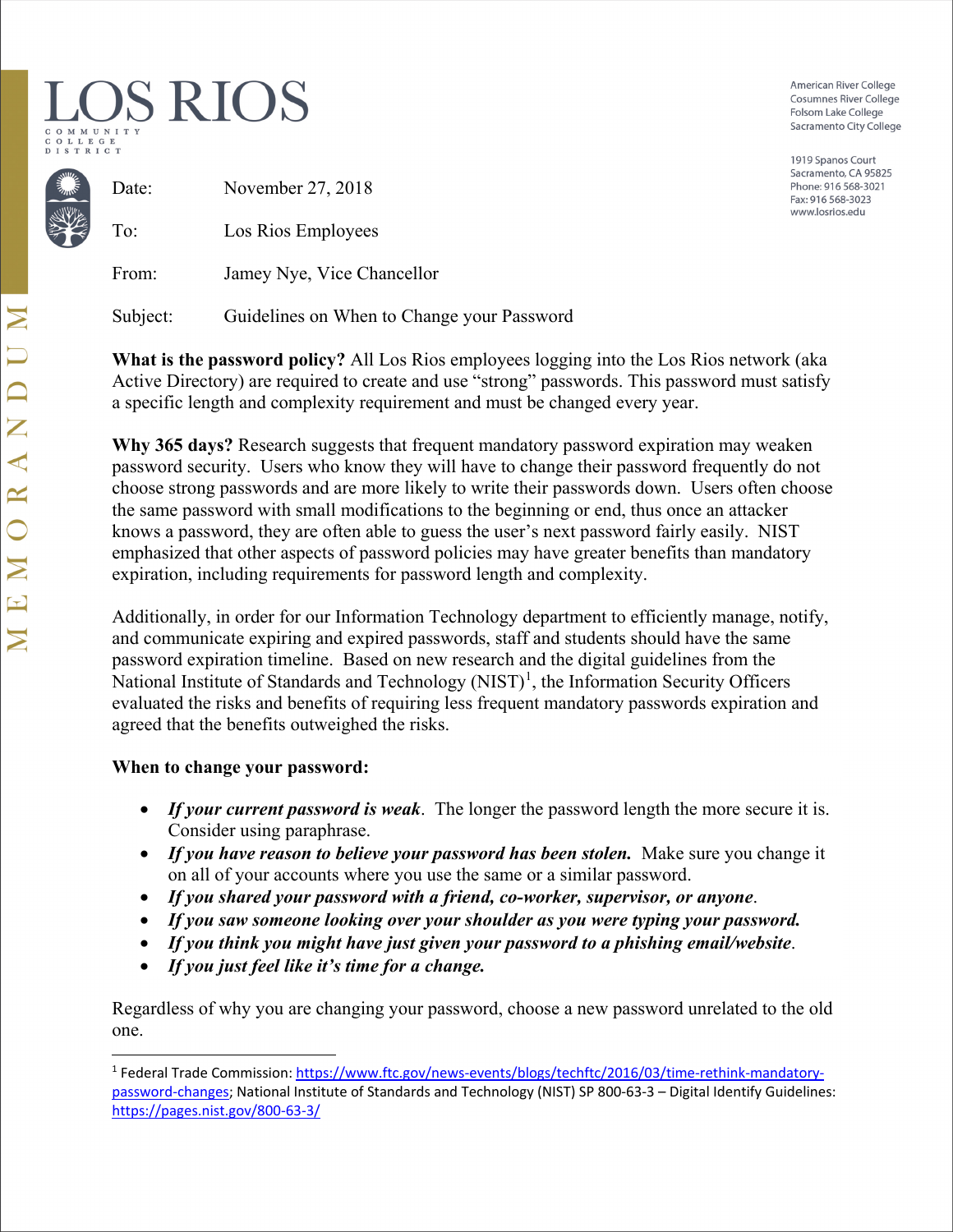# OS RIOS LLEGE

American River College **Cosumnes River College** Folsom Lake College Sacramento City College

1919 Spanos Court Sacramento, CA 95825 Phone: 916 568-3021 Fax: 916 568-3023 www.losrios.edu

| November 27, 2018          |
|----------------------------|
| Los Rios Employees         |
| Jamey Nye, Vice Chancellor |
|                            |

Subject: Guidelines on When to Change your Password

**What is the password policy?** All Los Rios employees logging into the Los Rios network (aka Active Directory) are required to create and use "strong" passwords. This password must satisfy a specific length and complexity requirement and must be changed every year.

**Why 365 days?** Research suggests that frequent mandatory password expiration may weaken password security. Users who know they will have to change their password frequently do not choose strong passwords and are more likely to write their passwords down. Users often choose the same password with small modifications to the beginning or end, thus once an attacker knows a password, they are often able to guess the user's next password fairly easily. NIST emphasized that other aspects of password policies may have greater benefits than mandatory expiration, including requirements for password length and complexity.

Additionally, in order for our Information Technology department to efficiently manage, notify, and communicate expiring and expired passwords, staff and students should have the same password expiration timeline. Based on new research and the digital guidelines from the National Institute of Standards and Technology (NIST)<sup>[1](#page-0-0)</sup>, the Information Security Officers evaluated the risks and benefits of requiring less frequent mandatory passwords expiration and agreed that the benefits outweighed the risks.

# **When to change your password:**

- *If your current password is weak*. The longer the password length the more secure it is. Consider using paraphrase.
- *If you have reason to believe your password has been stolen.* Make sure you change it on all of your accounts where you use the same or a similar password.
- *If you shared your password with a friend, co-worker, supervisor, or anyone*.
- *If you saw someone looking over your shoulder as you were typing your password.*
- *If you think you might have just given your password to a phishing email/website*.
- *If you just feel like it's time for a change.*

Regardless of why you are changing your password, choose a new password unrelated to the old one.

<span id="page-0-0"></span><sup>1</sup> Federal Trade Commission[: https://www.ftc.gov/news-events/blogs/techftc/2016/03/time-rethink-mandatory](https://www.ftc.gov/news-events/blogs/techftc/2016/03/time-rethink-mandatory-password-changes)[password-changes;](https://www.ftc.gov/news-events/blogs/techftc/2016/03/time-rethink-mandatory-password-changes) National Institute of Standards and Technology (NIST) SP 800-63-3 – Digital Identify Guidelines: <https://pages.nist.gov/800-63-3/>